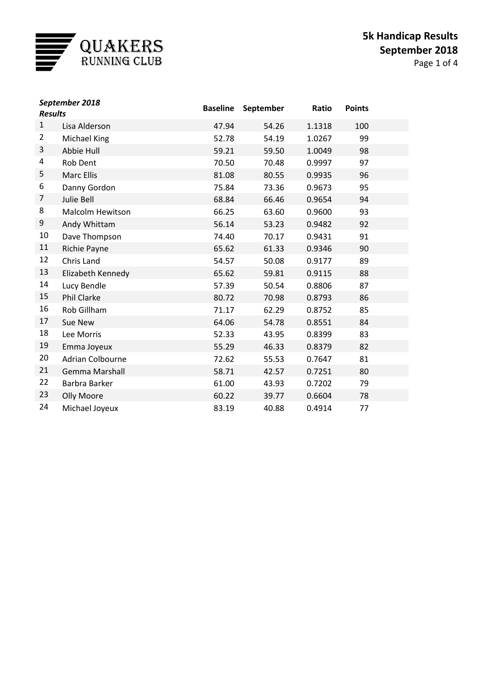

| September 2018<br><b>Results</b> |                         | <b>Baseline</b> | September | Ratio  | <b>Points</b> |  |
|----------------------------------|-------------------------|-----------------|-----------|--------|---------------|--|
| $\mathbf{1}$                     | Lisa Alderson           | 47.94           | 54.26     | 1.1318 | 100           |  |
| $\overline{2}$                   | Michael King            | 52.78           | 54.19     | 1.0267 | 99            |  |
| 3                                | Abbie Hull              | 59.21           | 59.50     | 1.0049 | 98            |  |
| 4                                | Rob Dent                | 70.50           | 70.48     | 0.9997 | 97            |  |
| 5                                | <b>Marc Ellis</b>       | 81.08           | 80.55     | 0.9935 | 96            |  |
| 6                                | Danny Gordon            | 75.84           | 73.36     | 0.9673 | 95            |  |
| 7                                | Julie Bell              | 68.84           | 66.46     | 0.9654 | 94            |  |
| 8                                | <b>Malcolm Hewitson</b> | 66.25           | 63.60     | 0.9600 | 93            |  |
| 9                                | Andy Whittam            | 56.14           | 53.23     | 0.9482 | 92            |  |
| 10                               | Dave Thompson           | 74.40           | 70.17     | 0.9431 | 91            |  |
| 11                               | Richie Payne            | 65.62           | 61.33     | 0.9346 | 90            |  |
| 12                               | Chris Land              | 54.57           | 50.08     | 0.9177 | 89            |  |
| 13                               | Elizabeth Kennedy       | 65.62           | 59.81     | 0.9115 | 88            |  |
| 14                               | Lucy Bendle             | 57.39           | 50.54     | 0.8806 | 87            |  |
| 15                               | <b>Phil Clarke</b>      | 80.72           | 70.98     | 0.8793 | 86            |  |
| 16                               | Rob Gillham             | 71.17           | 62.29     | 0.8752 | 85            |  |
| 17                               | Sue New                 | 64.06           | 54.78     | 0.8551 | 84            |  |
| 18                               | Lee Morris              | 52.33           | 43.95     | 0.8399 | 83            |  |
| 19                               | Emma Joyeux             | 55.29           | 46.33     | 0.8379 | 82            |  |
| 20                               | <b>Adrian Colbourne</b> | 72.62           | 55.53     | 0.7647 | 81            |  |
| 21                               | <b>Gemma Marshall</b>   | 58.71           | 42.57     | 0.7251 | 80            |  |
| 22                               | Barbra Barker           | 61.00           | 43.93     | 0.7202 | 79            |  |
| 23                               | Olly Moore              | 60.22           | 39.77     | 0.6604 | 78            |  |
| 24                               | Michael Joyeux          | 83.19           | 40.88     | 0.4914 | 77            |  |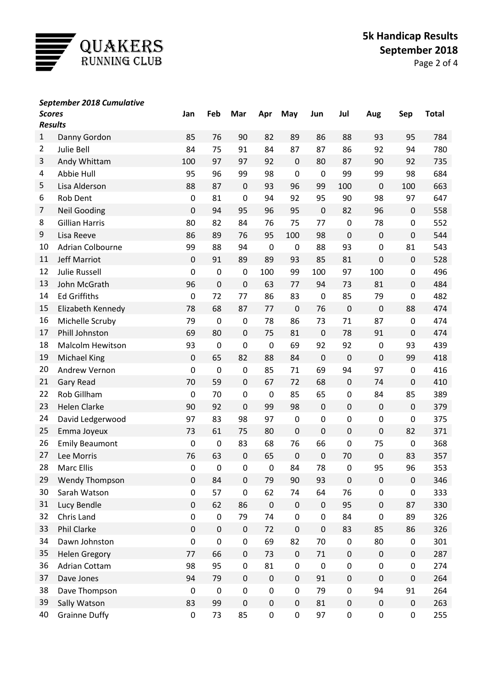

## *September 2018 Cumulative*

| <b>Scores</b><br><b>Results</b> |                         | Jan              | Feb       | Mar              | Apr         | May         | Jun         | Jul              | Aug         | Sep              | <b>Total</b> |
|---------------------------------|-------------------------|------------------|-----------|------------------|-------------|-------------|-------------|------------------|-------------|------------------|--------------|
| 1                               | Danny Gordon            | 85               | 76        | 90               | 82          | 89          | 86          | 88               | 93          | 95               | 784          |
| $\overline{2}$                  | Julie Bell              | 84               | 75        | 91               | 84          | 87          | 87          | 86               | 92          | 94               | 780          |
| 3                               | Andy Whittam            | 100              | 97        | 97               | 92          | $\mathbf 0$ | 80          | 87               | 90          | 92               | 735          |
| 4                               | Abbie Hull              | 95               | 96        | 99               | 98          | $\mathbf 0$ | $\mathbf 0$ | 99               | 99          | 98               | 684          |
| 5                               | Lisa Alderson           | 88               | 87        | $\mathbf 0$      | 93          | 96          | 99          | 100              | $\mathbf 0$ | 100              | 663          |
| 6                               | Rob Dent                | $\pmb{0}$        | 81        | $\pmb{0}$        | 94          | 92          | 95          | 90               | 98          | 97               | 647          |
| 7                               | <b>Neil Gooding</b>     | $\pmb{0}$        | 94        | 95               | 96          | 95          | $\mathbf 0$ | 82               | 96          | $\pmb{0}$        | 558          |
| 8                               | <b>Gillian Harris</b>   | 80               | 82        | 84               | 76          | 75          | 77          | $\mathbf 0$      | 78          | $\pmb{0}$        | 552          |
| 9                               | Lisa Reeve              | 86               | 89        | 76               | 95          | 100         | 98          | $\mathbf 0$      | $\mathbf 0$ | $\boldsymbol{0}$ | 544          |
| 10                              | Adrian Colbourne        | 99               | 88        | 94               | $\mathbf 0$ | $\pmb{0}$   | 88          | 93               | $\mathbf 0$ | 81               | 543          |
| 11                              | <b>Jeff Marriot</b>     | $\pmb{0}$        | 91        | 89               | 89          | 93          | 85          | 81               | $\mathbf 0$ | $\pmb{0}$        | 528          |
| 12                              | <b>Julie Russell</b>    | $\pmb{0}$        | $\pmb{0}$ | $\mathbf 0$      | 100         | 99          | 100         | 97               | 100         | $\pmb{0}$        | 496          |
| 13                              | John McGrath            | 96               | $\pmb{0}$ | $\mathbf 0$      | 63          | 77          | 94          | 73               | 81          | $\pmb{0}$        | 484          |
| 14                              | <b>Ed Griffiths</b>     | $\pmb{0}$        | 72        | 77               | 86          | 83          | $\mathbf 0$ | 85               | 79          | $\pmb{0}$        | 482          |
| 15                              | Elizabeth Kennedy       | 78               | 68        | 87               | 77          | $\mathbf 0$ | 76          | $\mathbf 0$      | $\pmb{0}$   | 88               | 474          |
| 16                              | Michelle Scruby         | 79               | $\pmb{0}$ | $\mathbf 0$      | 78          | 86          | 73          | 71               | 87          | $\pmb{0}$        | 474          |
| 17                              | Phill Johnston          | 69               | 80        | 0                | 75          | 81          | $\mathbf 0$ | 78               | 91          | $\pmb{0}$        | 474          |
| 18                              | <b>Malcolm Hewitson</b> | 93               | $\pmb{0}$ | 0                | $\pmb{0}$   | 69          | 92          | 92               | 0           | 93               | 439          |
| 19                              | <b>Michael King</b>     | $\pmb{0}$        | 65        | 82               | 88          | 84          | $\mathbf 0$ | $\mathbf 0$      | $\mathbf 0$ | 99               | 418          |
| 20                              | Andrew Vernon           | $\pmb{0}$        | $\pmb{0}$ | $\mathbf 0$      | 85          | 71          | 69          | 94               | 97          | $\pmb{0}$        | 416          |
| 21                              | <b>Gary Read</b>        | 70               | 59        | 0                | 67          | 72          | 68          | $\mathbf 0$      | 74          | $\pmb{0}$        | 410          |
| 22                              | Rob Gillham             | $\boldsymbol{0}$ | 70        | 0                | $\pmb{0}$   | 85          | 65          | $\boldsymbol{0}$ | 84          | 85               | 389          |
| 23                              | <b>Helen Clarke</b>     | 90               | 92        | $\mathbf 0$      | 99          | 98          | $\pmb{0}$   | $\pmb{0}$        | $\mathbf 0$ | $\pmb{0}$        | 379          |
| 24                              | David Ledgerwood        | 97               | 83        | 98               | 97          | 0           | $\pmb{0}$   | 0                | 0           | $\pmb{0}$        | 375          |
| 25                              | Emma Joyeux             | 73               | 61        | 75               | 80          | $\mathbf 0$ | $\mathbf 0$ | $\pmb{0}$        | $\mathbf 0$ | 82               | 371          |
| 26                              | <b>Emily Beaumont</b>   | $\boldsymbol{0}$ | $\pmb{0}$ | 83               | 68          | 76          | 66          | $\mathbf 0$      | 75          | $\pmb{0}$        | 368          |
| 27                              | Lee Morris              | 76               | 63        | $\pmb{0}$        | 65          | $\mathbf 0$ | $\mathbf 0$ | 70               | $\mathbf 0$ | 83               | 357          |
| 28                              | <b>Marc Ellis</b>       | 0                | $\pmb{0}$ | $\boldsymbol{0}$ | $\pmb{0}$   | 84          | 78          | $\mathbf 0$      | 95          | 96               | 353          |
| 29                              | <b>Wendy Thompson</b>   | $\pmb{0}$        | 84        | 0                | 79          | 90          | 93          | $\pmb{0}$        | 0           | $\pmb{0}$        | 346          |
| 30                              | Sarah Watson            | $\pmb{0}$        | 57        | 0                | 62          | 74          | 64          | 76               | $\pmb{0}$   | $\pmb{0}$        | 333          |
| 31                              | Lucy Bendle             | $\pmb{0}$        | 62        | 86               | $\pmb{0}$   | 0           | $\pmb{0}$   | 95               | $\pmb{0}$   | 87               | 330          |
| 32                              | Chris Land              | $\pmb{0}$        | $\pmb{0}$ | 79               | 74          | $\pmb{0}$   | $\pmb{0}$   | 84               | $\pmb{0}$   | 89               | 326          |
| 33                              | Phil Clarke             | $\pmb{0}$        | $\pmb{0}$ | $\pmb{0}$        | 72          | $\pmb{0}$   | $\pmb{0}$   | 83               | 85          | 86               | 326          |
| 34                              | Dawn Johnston           | $\mathbf 0$      | $\pmb{0}$ | 0                | 69          | 82          | 70          | $\pmb{0}$        | 80          | 0                | 301          |
| 35                              | <b>Helen Gregory</b>    | 77               | 66        | 0                | 73          | 0           | 71          | $\pmb{0}$        | $\pmb{0}$   | $\pmb{0}$        | 287          |
| 36                              | <b>Adrian Cottam</b>    | 98               | 95        | 0                | 81          | 0           | $\pmb{0}$   | $\pmb{0}$        | $\pmb{0}$   | $\pmb{0}$        | 274          |
| 37                              | Dave Jones              | 94               | 79        | 0                | $\pmb{0}$   | 0           | 91          | $\pmb{0}$        | $\pmb{0}$   | $\pmb{0}$        | 264          |
| 38                              | Dave Thompson           | $\boldsymbol{0}$ | $\pmb{0}$ | 0                | $\pmb{0}$   | 0           | 79          | $\pmb{0}$        | 94          | 91               | 264          |
| 39                              | Sally Watson            | 83               | 99        | 0                | $\pmb{0}$   | 0           | 81          | $\pmb{0}$        | $\pmb{0}$   | $\pmb{0}$        | 263          |
| 40                              | <b>Grainne Duffy</b>    | $\pmb{0}$        | 73        | 85               | $\pmb{0}$   | 0           | 97          | $\pmb{0}$        | $\pmb{0}$   | $\pmb{0}$        | 255          |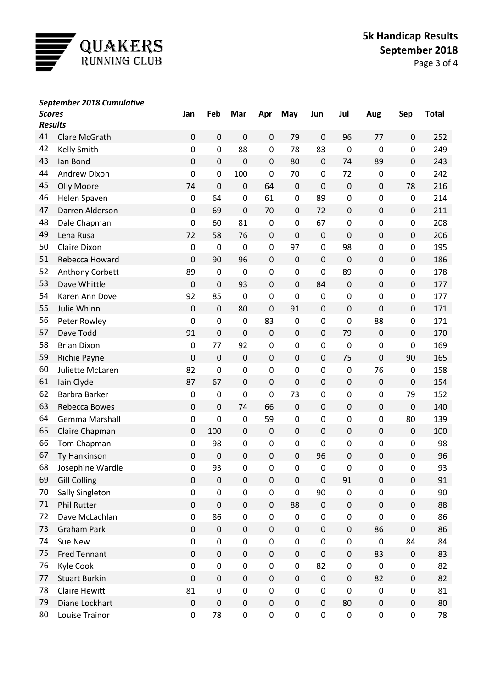

## *September 2018 Cumulative*

| <b>Scores</b><br><b>Results</b> |                      | Jan         | Feb              | Mar         | Apr         | May         | Jun              | Jul              | Aug         | Sep              | <b>Total</b> |
|---------------------------------|----------------------|-------------|------------------|-------------|-------------|-------------|------------------|------------------|-------------|------------------|--------------|
| 41<br>Clare McGrath             |                      | 0           | $\pmb{0}$        | 0           | 0           | 79          | $\mathbf 0$      | 96               | 77          | 0                | 252          |
| 42                              | Kelly Smith          | 0           | $\pmb{0}$        | 88          | 0           | 78          | 83               | $\boldsymbol{0}$ | $\mathbf 0$ | 0                | 249          |
| 43                              | Ian Bond             | 0           | $\pmb{0}$        | $\mathbf 0$ | $\pmb{0}$   | 80          | $\mathbf 0$      | 74               | 89          | $\pmb{0}$        | 243          |
| 44                              | Andrew Dixon         | 0           | 0                | 100         | $\mathbf 0$ | 70          | 0                | 72               | 0           | 0                | 242          |
| 45                              | Olly Moore           | 74          | $\mathbf 0$      | 0           | 64          | $\pmb{0}$   | $\mathbf 0$      | $\boldsymbol{0}$ | $\mathbf 0$ | 78               | 216          |
| 46                              | Helen Spaven         | 0           | 64               | $\pmb{0}$   | 61          | $\pmb{0}$   | 89               | $\pmb{0}$        | 0           | 0                | 214          |
| 47                              | Darren Alderson      | 0           | 69               | $\mathbf 0$ | 70          | $\pmb{0}$   | 72               | $\pmb{0}$        | $\mathbf 0$ | 0                | 211          |
| 48                              | Dale Chapman         | 0           | 60               | 81          | $\mathbf 0$ | $\pmb{0}$   | 67               | 0                | 0           | 0                | 208          |
| 49                              | Lena Rusa            | 72          | 58               | 76          | $\pmb{0}$   | $\mathbf 0$ | $\mathbf 0$      | $\pmb{0}$        | $\mathbf 0$ | 0                | 206          |
| 50                              | Claire Dixon         | $\mathbf 0$ | $\boldsymbol{0}$ | $\mathbf 0$ | $\pmb{0}$   | 97          | $\pmb{0}$        | 98               | 0           | 0                | 195          |
| 51                              | Rebecca Howard       | 0           | 90               | 96          | $\pmb{0}$   | $\pmb{0}$   | $\mathbf 0$      | $\boldsymbol{0}$ | $\mathbf 0$ | 0                | 186          |
| 52                              | Anthony Corbett      | 89          | $\pmb{0}$        | $\mathbf 0$ | $\pmb{0}$   | $\pmb{0}$   | 0                | 89               | 0           | 0                | 178          |
| 53                              | Dave Whittle         | 0           | $\pmb{0}$        | 93          | $\pmb{0}$   | $\pmb{0}$   | 84               | $\boldsymbol{0}$ | $\mathbf 0$ | $\pmb{0}$        | 177          |
| 54                              | Karen Ann Dove       | 92          | 85               | $\mathbf 0$ | $\mathbf 0$ | $\pmb{0}$   | $\mathbf 0$      | $\pmb{0}$        | 0           | 0                | 177          |
| 55                              | Julie Whinn          | 0           | $\mathbf 0$      | 80          | $\mathbf 0$ | 91          | $\pmb{0}$        | $\pmb{0}$        | $\mathbf 0$ | 0                | 171          |
| 56                              | Peter Rowley         | $\mathbf 0$ | $\pmb{0}$        | $\pmb{0}$   | 83          | $\pmb{0}$   | 0                | $\pmb{0}$        | 88          | 0                | 171          |
| 57                              | Dave Todd            | 91          | $\mathbf 0$      | $\mathbf 0$ | $\pmb{0}$   | 0           | $\pmb{0}$        | 79               | $\mathbf 0$ | 0                | 170          |
| 58                              | <b>Brian Dixon</b>   | $\pmb{0}$   | 77               | 92          | $\pmb{0}$   | $\pmb{0}$   | 0                | $\pmb{0}$        | 0           | 0                | 169          |
| 59                              | Richie Payne         | 0           | $\pmb{0}$        | $\pmb{0}$   | $\mathbf 0$ | $\pmb{0}$   | $\pmb{0}$        | 75               | $\mathbf 0$ | 90               | 165          |
| 60                              | Juliette McLaren     | 82          | $\pmb{0}$        | $\pmb{0}$   | 0           | $\pmb{0}$   | 0                | $\pmb{0}$        | 76          | 0                | 158          |
| 61                              | Iain Clyde           | 87          | 67               | $\mathbf 0$ | $\pmb{0}$   | $\pmb{0}$   | $\pmb{0}$        | $\pmb{0}$        | $\mathbf 0$ | $\boldsymbol{0}$ | 154          |
| 62                              | Barbra Barker        | $\pmb{0}$   | $\pmb{0}$        | 0           | $\pmb{0}$   | 73          | 0                | $\pmb{0}$        | 0           | 79               | 152          |
| 63                              | <b>Rebecca Bowes</b> | 0           | $\pmb{0}$        | 74          | 66          | $\pmb{0}$   | $\pmb{0}$        | $\pmb{0}$        | $\pmb{0}$   | $\boldsymbol{0}$ | 140          |
| 64                              | Gemma Marshall       | 0           | $\pmb{0}$        | $\pmb{0}$   | 59          | $\pmb{0}$   | 0                | $\pmb{0}$        | 0           | 80               | 139          |
| 65                              | Claire Chapman       | 0           | 100              | $\pmb{0}$   | $\pmb{0}$   | 0           | $\mathbf 0$      | $\pmb{0}$        | $\mathbf 0$ | $\boldsymbol{0}$ | 100          |
| 66                              | Tom Chapman          | 0           | 98               | $\pmb{0}$   | $\pmb{0}$   | $\pmb{0}$   | 0                | $\pmb{0}$        | 0           | 0                | 98           |
| 67                              | Ty Hankinson         | 0           | $\boldsymbol{0}$ | $\pmb{0}$   | $\pmb{0}$   | $\mathbf 0$ | 96               | $\pmb{0}$        | $\mathbf 0$ | 0                | 96           |
| 68                              | Josephine Wardle     | 0           | 93               | 0           | $\pmb{0}$   | $\mathbf 0$ | $\mathbf 0$      | $\pmb{0}$        | $\mathbf 0$ | 0                | 93           |
| 69                              | <b>Gill Colling</b>  | 0           | $\pmb{0}$        | 0           | 0           | 0           | 0                | 91               | 0           | 0                | 91           |
| 70                              | Sally Singleton      | 0           | $\pmb{0}$        | $\pmb{0}$   | $\pmb{0}$   | $\pmb{0}$   | 90               | $\pmb{0}$        | $\pmb{0}$   | 0                | 90           |
| 71                              | <b>Phil Rutter</b>   | 0           | $\pmb{0}$        | 0           | $\pmb{0}$   | 88          | $\mathbf 0$      | $\pmb{0}$        | $\pmb{0}$   | 0                | 88           |
| 72                              | Dave McLachlan       | $\mathbf 0$ | 86               | $\pmb{0}$   | $\pmb{0}$   | $\pmb{0}$   | 0                | 0                | $\mathbf 0$ | 0                | 86           |
| 73                              | <b>Graham Park</b>   | 0           | $\pmb{0}$        | 0           | $\mathbf 0$ | $\mathbf 0$ | $\pmb{0}$        | $\pmb{0}$        | 86          | 0                | 86           |
| 74                              | Sue New              | 0           | $\pmb{0}$        | $\pmb{0}$   | $\pmb{0}$   | $\pmb{0}$   | 0                | $\pmb{0}$        | $\pmb{0}$   | 84               | 84           |
| 75                              | <b>Fred Tennant</b>  | 0           | $\pmb{0}$        | 0           | $\mathbf 0$ | $\mathbf 0$ | 0                | $\pmb{0}$        | 83          | 0                | 83           |
| 76                              | Kyle Cook            | $\mathbf 0$ | $\pmb{0}$        | $\pmb{0}$   | $\pmb{0}$   | $\pmb{0}$   | 82               | $\pmb{0}$        | $\pmb{0}$   | 0                | 82           |
| 77                              | <b>Stuart Burkin</b> | 0           | $\pmb{0}$        | 0           | $\pmb{0}$   | $\pmb{0}$   | $\boldsymbol{0}$ | $\pmb{0}$        | 82          | 0                | 82           |
| 78                              | <b>Claire Hewitt</b> | 81          | $\pmb{0}$        | $\pmb{0}$   | $\pmb{0}$   | $\pmb{0}$   | 0                | $\pmb{0}$        | $\pmb{0}$   | 0                | 81           |
| 79                              | Diane Lockhart       | $\pmb{0}$   | $\pmb{0}$        | 0           | $\mathbf 0$ | 0           | $\pmb{0}$        | 80               | $\pmb{0}$   | 0                | 80           |
| 80                              | Louise Trainor       | $\mathbf 0$ | 78               | 0           | $\pmb{0}$   | $\pmb{0}$   | 0                | $\pmb{0}$        | 0           | 0                | 78           |